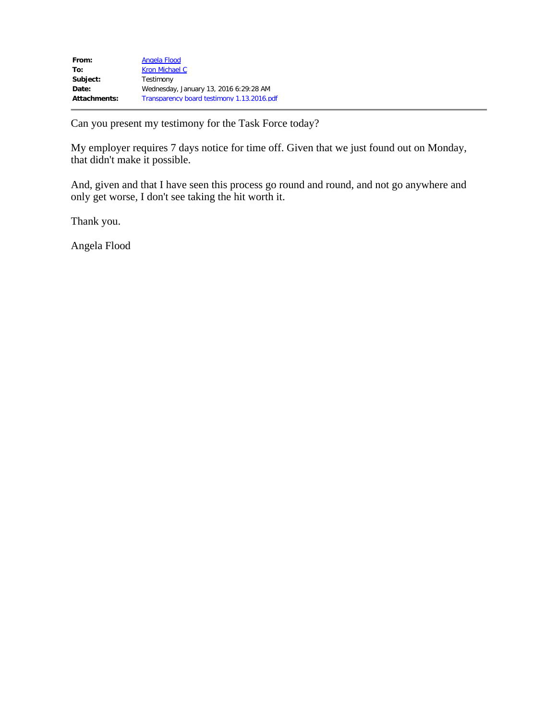| Angela Flood                               |
|--------------------------------------------|
| Kron Michael C                             |
| Testimony                                  |
| Wednesday, January 13, 2016 6:29:28 AM     |
| Transparency board testimony 1.13.2016.pdf |
|                                            |

Can you present my testimony for the Task Force today?

My employer requires 7 days notice for time off. Given that we just found out on Monday, that didn't make it possible.

And, given and that I have seen this process go round and round, and not go anywhere and only get worse, I don't see taking the hit worth it.

Thank you.

Angela Flood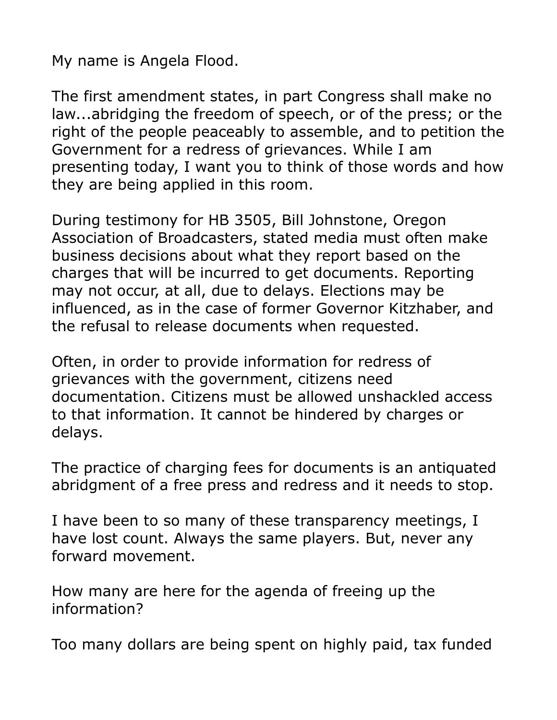My name is Angela Flood.

The first amendment states, in part Congress shall make no law...abridging the freedom of speech, or of the press; or the right of the people peaceably to assemble, and to petition the Government for a redress of grievances. While I am presenting today, I want you to think of those words and how they are being applied in this room.

During testimony for HB 3505, Bill Johnstone, Oregon Association of Broadcasters, stated media must often make business decisions about what they report based on the charges that will be incurred to get documents. Reporting may not occur, at all, due to delays. Elections may be influenced, as in the case of former Governor Kitzhaber, and the refusal to release documents when requested.

Often, in order to provide information for redress of grievances with the government, citizens need documentation. Citizens must be allowed unshackled access to that information. It cannot be hindered by charges or delays.

The practice of charging fees for documents is an antiquated abridgment of a free press and redress and it needs to stop.

I have been to so many of these transparency meetings, I have lost count. Always the same players. But, never any forward movement.

How many are here for the agenda of freeing up the information?

Too many dollars are being spent on highly paid, tax funded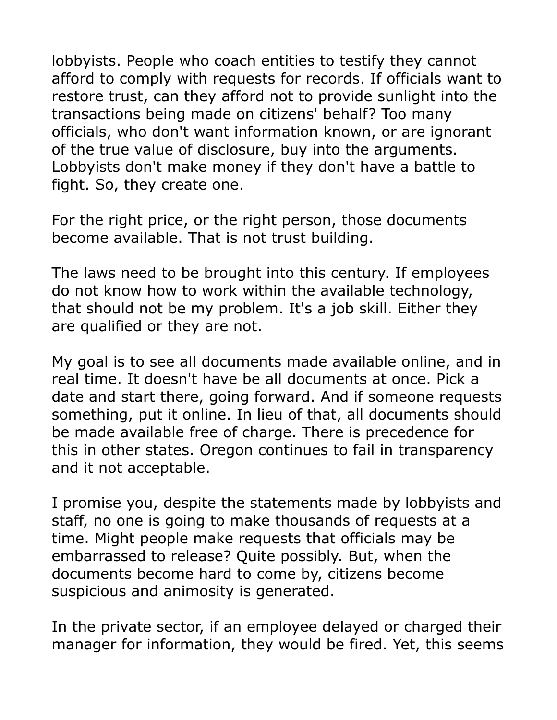lobbyists. People who coach entities to testify they cannot afford to comply with requests for records. If officials want to restore trust, can they afford not to provide sunlight into the transactions being made on citizens' behalf? Too many officials, who don't want information known, or are ignorant of the true value of disclosure, buy into the arguments. Lobbyists don't make money if they don't have a battle to fight. So, they create one.

For the right price, or the right person, those documents become available. That is not trust building.

The laws need to be brought into this century. If employees do not know how to work within the available technology, that should not be my problem. It's a job skill. Either they are qualified or they are not.

My goal is to see all documents made available online, and in real time. It doesn't have be all documents at once. Pick a date and start there, going forward. And if someone requests something, put it online. In lieu of that, all documents should be made available free of charge. There is precedence for this in other states. Oregon continues to fail in transparency and it not acceptable.

I promise you, despite the statements made by lobbyists and staff, no one is going to make thousands of requests at a time. Might people make requests that officials may be embarrassed to release? Quite possibly. But, when the documents become hard to come by, citizens become suspicious and animosity is generated.

In the private sector, if an employee delayed or charged their manager for information, they would be fired. Yet, this seems